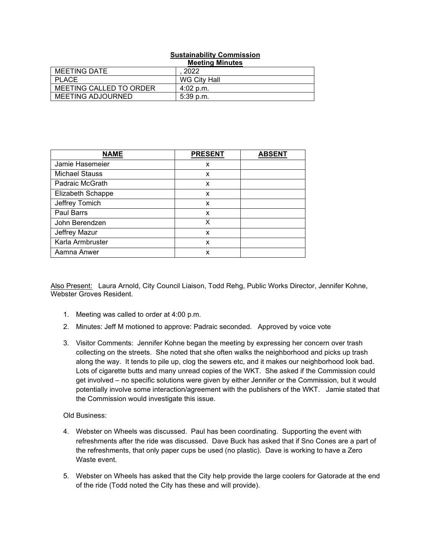## **Sustainability Commission Meeting Minutes**

|                          | <b>INGGUITA MIIIMLGS</b> |
|--------------------------|--------------------------|
| <b>MEETING DATE</b>      | 2022                     |
| <b>PLACE</b>             | WG City Hall             |
| MEETING CALLED TO ORDER  | $4:02$ p.m.              |
| <b>MEETING ADJOURNED</b> | $5:39$ p.m.              |

| <b>NAME</b>           | <b>PRESENT</b> | <b>ABSENT</b> |
|-----------------------|----------------|---------------|
| Jamie Hasemeier       | x              |               |
| <b>Michael Stauss</b> | x              |               |
| Padraic McGrath       | X              |               |
| Elizabeth Schappe     | X              |               |
| Jeffrey Tomich        | X              |               |
| Paul Barrs            | X              |               |
| John Berendzen        | X              |               |
| Jeffrey Mazur         | x              |               |
| Karla Armbruster      | x              |               |
| Aamna Anwer           | x              |               |

Also Present: Laura Arnold, City Council Liaison, Todd Rehg, Public Works Director, Jennifer Kohne, Webster Groves Resident.

- 1. Meeting was called to order at 4:00 p.m.
- 2. Minutes: Jeff M motioned to approve: Padraic seconded. Approved by voice vote
- 3. Visitor Comments: Jennifer Kohne began the meeting by expressing her concern over trash collecting on the streets. She noted that she often walks the neighborhood and picks up trash along the way. It tends to pile up, clog the sewers etc, and it makes our neighborhood look bad. Lots of cigarette butts and many unread copies of the WKT. She asked if the Commission could get involved – no specific solutions were given by either Jennifer or the Commission, but it would potentially involve some interaction/agreement with the publishers of the WKT. Jamie stated that the Commission would investigate this issue.

## Old Business:

- 4. Webster on Wheels was discussed. Paul has been coordinating. Supporting the event with refreshments after the ride was discussed. Dave Buck has asked that if Sno Cones are a part of the refreshments, that only paper cups be used (no plastic). Dave is working to have a Zero Waste event.
- 5. Webster on Wheels has asked that the City help provide the large coolers for Gatorade at the end of the ride (Todd noted the City has these and will provide).